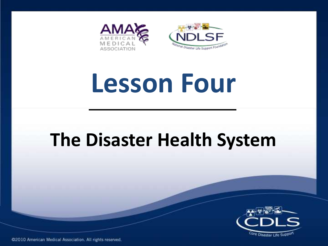

# **Lesson Four**

### **The Disaster Health System**

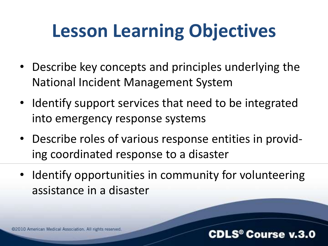## **Lesson Learning Objectives**

- Describe key concepts and principles underlying the National Incident Management System
- Identify support services that need to be integrated into emergency response systems
- Describe roles of various response entities in providing coordinated response to a disaster
- Identify opportunities in community for volunteering assistance in a disaster

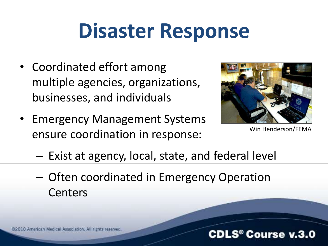# **Disaster Response**

- Coordinated effort among multiple agencies, organizations, businesses, and individuals
- Emergency Management Systems ensure coordination in response:



Win Henderson/FEMA

- Exist at agency, local, state, and federal level
- Often coordinated in Emergency Operation Centers

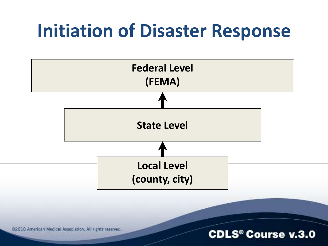### **Initiation of Disaster Response**



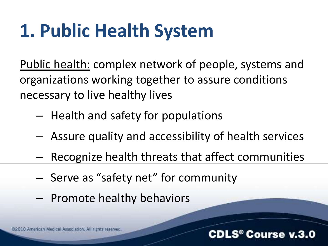# **1. Public Health System**

Public health: complex network of people, systems and organizations working together to assure conditions necessary to live healthy lives

- Health and safety for populations
- Assure quality and accessibility of health services
- Recognize health threats that affect communities
- Serve as "safety net" for community
- Promote healthy behaviors

@2010 American Medical Association. All rights reserved

#### .S® Course v.3.0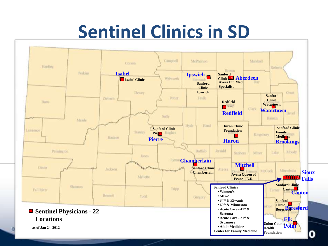## **Sentinel Clinics in SD**



 $\omega$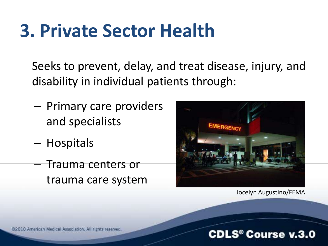### **3. Private Sector Health**

Seeks to prevent, delay, and treat disease, injury, and disability in individual patients through:

- Primary care providers and specialists
- Hospitals
- Trauma centers or trauma care system



Jocelyn Augustino/FEMA

@2010 American Medical Association. All rights reserved.

#### **CDLS<sup>®</sup> Course v.3.0**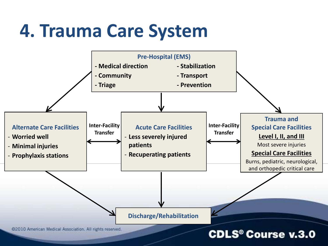### **4. Trauma Care System**

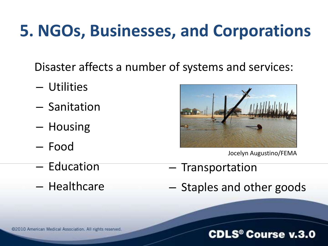### **5. NGOs, Businesses, and Corporations**

Disaster affects a number of systems and services:

- Utilities
- Sanitation
- Housing
- Food
- Education
- Healthcare



Jocelyn Augustino/FEMA

- Transportation
- Staples and other goods

#### **CDLS<sup>®</sup> Course v.3.0**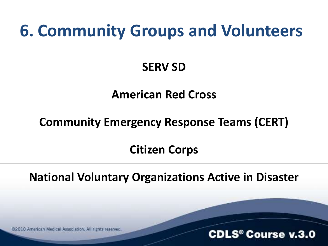### **6. Community Groups and Volunteers**

### **SERV SD**

### **American Red Cross**

### **Community Emergency Response Teams (CERT)**

### **Citizen Corps**

**National Voluntary Organizations Active in Disaster**

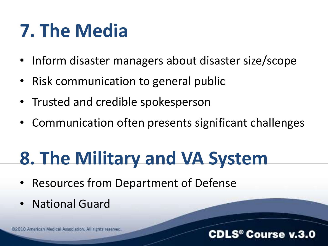## **7. The Media**

- Inform disaster managers about disaster size/scope
- Risk communication to general public
- Trusted and credible spokesperson
- Communication often presents significant challenges

## **8. The Military and VA System**

- Resources from Department of Defense
- National Guard

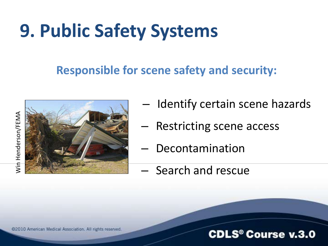# **9. Public Safety Systems**

### **Responsible for scene safety and security:**





– Identify certain scene hazards

**CDLS<sup>®</sup> Course v.3.0** 

- Restricting scene access
- Decontamination
- Search and rescue

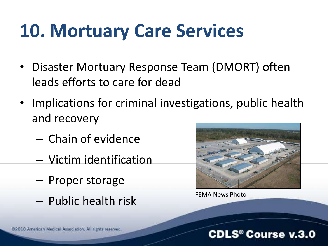## **10. Mortuary Care Services**

- Disaster Mortuary Response Team (DMORT) often leads efforts to care for dead
- Implications for criminal investigations, public health and recovery
	- Chain of evidence
	- Victim identification
	- Proper storage
	- Public health risk FEMA News Photo



**CDLS<sup>®</sup> Course v.3.0**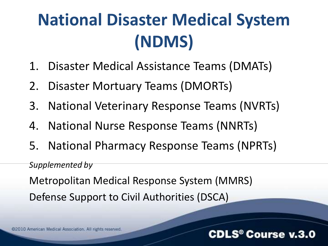## **National Disaster Medical System (NDMS)**

- 1. Disaster Medical Assistance Teams (DMATs)
- 2. Disaster Mortuary Teams (DMORTs)
- 3. National Veterinary Response Teams (NVRTs)
- 4. National Nurse Response Teams (NNRTs)
- 5. National Pharmacy Response Teams (NPRTs)

#### *Supplemented by*

Metropolitan Medical Response System (MMRS) Defense Support to Civil Authorities (DSCA)

@2010 American Medical Association. All rights reserved.

#### **CDLS® Course v.3.0**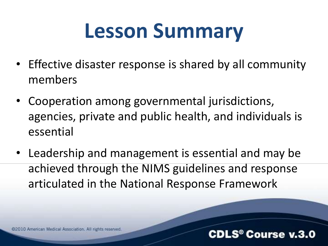# **Lesson Summary**

- Effective disaster response is shared by all community members
- Cooperation among governmental jurisdictions, agencies, private and public health, and individuals is essential
- Leadership and management is essential and may be achieved through the NIMS guidelines and response articulated in the National Response Framework